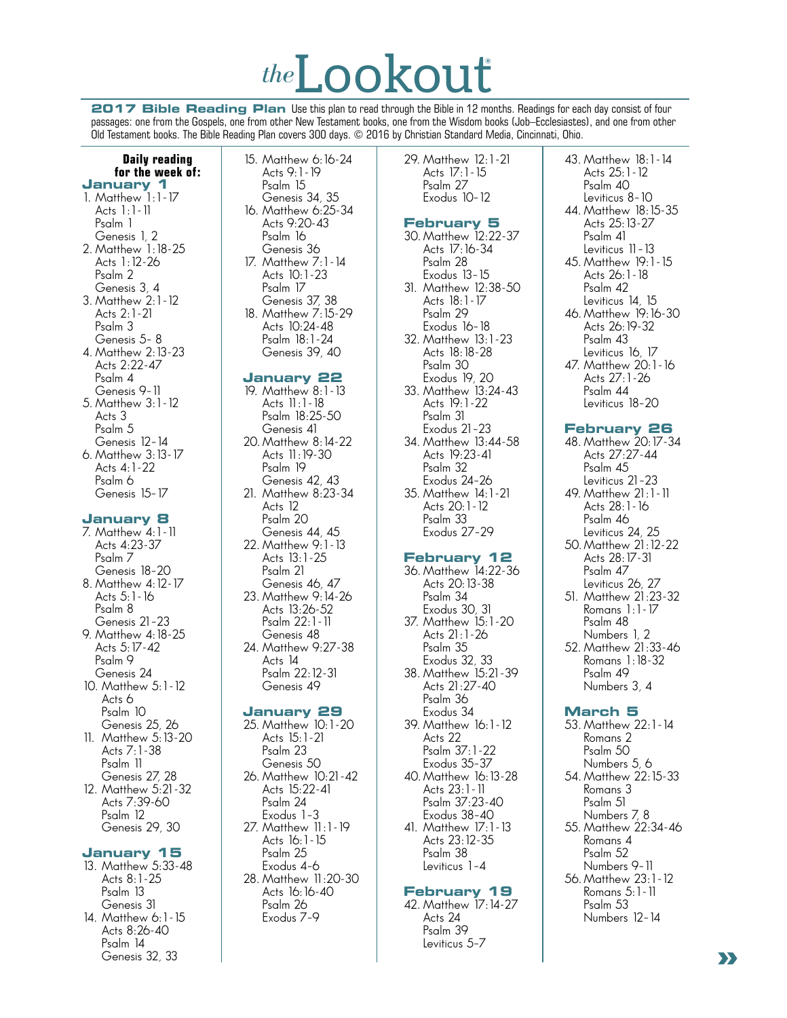# *the*Lookout**®**

**2017 Bible Reading Plan** Use this plan to read through the Bible in 12 months. Readings for each day consist of four passages: one from the Gospels, one from other New Testament books, one from the Wisdom books (Job–Ecclesiastes), and one from other Old Testament books. The Bible Reading Plan covers 300 days. © 2016 by Christian Standard Media, Cincinnati, Ohio.

#### **Daily reading for the week of: January 1**

1. Matthew 1:1-17 Acts 1:1-11 Psalm 1 Genesis 1, 2 2. Matthew 1:18-25 Acts 1:12-26 Psalm 2 Genesis 3, 4 3. Matthew 2:1-12 Acts 2:1-21 Psalm 3 Genesis 5– 8 4. Matthew 2:13-23 Acts 2:22-47 Psalm 4 Genesis 9–11 5. Matthew 3:1-12 Acts 3 Psalm 5 Genesis 12–14 6. Matthew 3:13-17 Acts 4:1-22

#### **January 8**

 Psalm 6 Genesis 15–17

- 7. Matthew 4:1-11 Acts 4:23-37 Psalm 7 Genesis 18–20 8. Matthew 4:12-17 Acts 5:1-16 Psalm 8 Genesis 21–23 9. Matthew 4:18-25 Acts 5:17-42 Psalm 9 Genesis 24 10. Matthew 5:1-12 Acts 6 Psalm 10 Genesis 25, 26
- 11. Matthew 5:13-20 Acts 7:1-38 Psalm 11 Genesis 27, 28
- 12. Matthew 5:21-32 Acts 7:39-60 Psalm 12 Genesis 29, 30

# **January 15**

13. Matthew 5:33-48 Acts 8:1-25 Psalm 13 Genesis 31 14. Matthew 6:1-15 Acts 8:26-40 Psalm 14

 Genesis 32, 33

15. Matthew 6:16-24 Acts 9:1-19 Psalm 15 Genesis 34, 35 16. Matthew 6:25-34 Acts 9:20-43 Psalm 16 Genesis 36 17. Matthew 7:1-14 Acts 10:1-23 Psalm 17 Genesis 37, 38 18. Matthew 7:15-29 Acts 10:24-48 Psalm 18:1-24

# **January 22**

 Genesis 39, 40

19. Matthew 8:1-13 Acts 11:1-18 Psalm 18:25-50 Genesis 41 20. Matthew 8:14-22 Acts 11:19-30 Psalm 19 Genesis 42, 43 21. Matthew 8:23-34 Acts 12 Psalm 20 Genesis 44, 45 22. Matthew 9:1-13 Acts 13:1-25 Psalm 21 Genesis 46, 47 23. Matthew 9:14-26 Acts 13:26-52 Psalm 22:1-11 Genesis 48 24. Matthew 9:27-38 Acts 14 Psalm 22:12-31 Genesis 49

# **January 29**

25. Matthew 10:1-20 Acts 15:1-21 Psalm 23 Genesis 50 26. Matthew 10:21-42 Acts 15:22-41 Psalm 24 Exodus 1–3 27. Matthew 11:1-19 Acts 16:1-15 Psalm 25 Exodus 4–6 28. Matthew 11:20-30 Acts 16:16-40 Psalm 26 Exodus 7–9

29. Matthew 12:1-21 Acts 17:1-15 Psalm 27 Exodus 10–12

# **February 5**

30. Matthew 12:22-37 Acts 17:16-34 Psalm 28 Exodus 13–15 31. Matthew 12:38-50 Acts 18:1-17 Psalm 29 Exodus 16–18 32. Matthew 13:1-23 Acts 18:18-28 Psalm 30 Exodus 19, 20 33. Matthew 13:24-43 Acts 19:1-22 Psalm 31 Exodus 21–23 34. Matthew 13:44-58 Acts 19:23-41 Psalm 32 Exodus 24–26 35. Matthew 14:1-21 Acts 20:1-12 Psalm 33 Exodus 27–29 **February 12** 36. Matthew 14:22-36 Acts 20:13-38 Psalm 34 Exodus 30, 31 37. Matthew 15:1-20 Acts 21:1-26 Psalm 35 Exodus 32, 33 38. Matthew 15:21-39 Acts 21:27-40 Psalm 36 Exodus 34 39. Matthew 16:1-12 Acts 22 Psalm 37:1-22 Exodus 35–37 40. Matthew 16:13-28 Acts 23:1-11 Psalm 37:23-40 Exodus 38–40 41. Matthew 17:1-13 Acts 23:12-35 Psalm 38 Leviticus 1–4

# **February 19**

42. Matthew 17:14-27 Acts 24 Psalm 39 Leviticus 5–7

 Acts 25:1-12 Psalm 40 Leviticus 8–10 44. Matthew 18:15-35 Acts 25:13-27 Psalm 41 Leviticus 11–13 45. Matthew 19:1-15 Acts 26:1-18 Psalm 42 Leviticus 14, 15 46. Matthew 19:16-30 Acts 26:19-32 Psalm 43 Leviticus 16, 17 47. Matthew 20:1-16 Acts 27:1-26 Psalm 44 Leviticus 18–20 **February 26** 48. Matthew 20:17-34 Acts 27:27-44 Psalm 45 Leviticus 21–23

43. Matthew 18:1-14

- 49. Matthew 21:1-11 Acts 28:1-16 Psalm 46 Leviticus 24, 25 50. Matthew 21:12-22 Acts 28:17-31 Psalm 47 Leviticus 26, 27 51. Matthew 21:23-32 Romans 1:1-17 Psalm 48 Numbers 1, 2
- 52. Matthew 21:33-46 Romans 1:18-32 Psalm 49 Numbers 3, 4

# **March 5**

53. Matthew 22:1-14 Romans 2 Psalm 50 Numbers 5, 6 54. Matthew 22:15-33 Romans 3 Psalm 51 Numbers 7, 8 55. Matthew 22:34-46 Romans 4 Psalm 52 Numbers 9–11 56. Matthew 23:1-12 Romans 5:1-11 Psalm 53 Numbers 12–14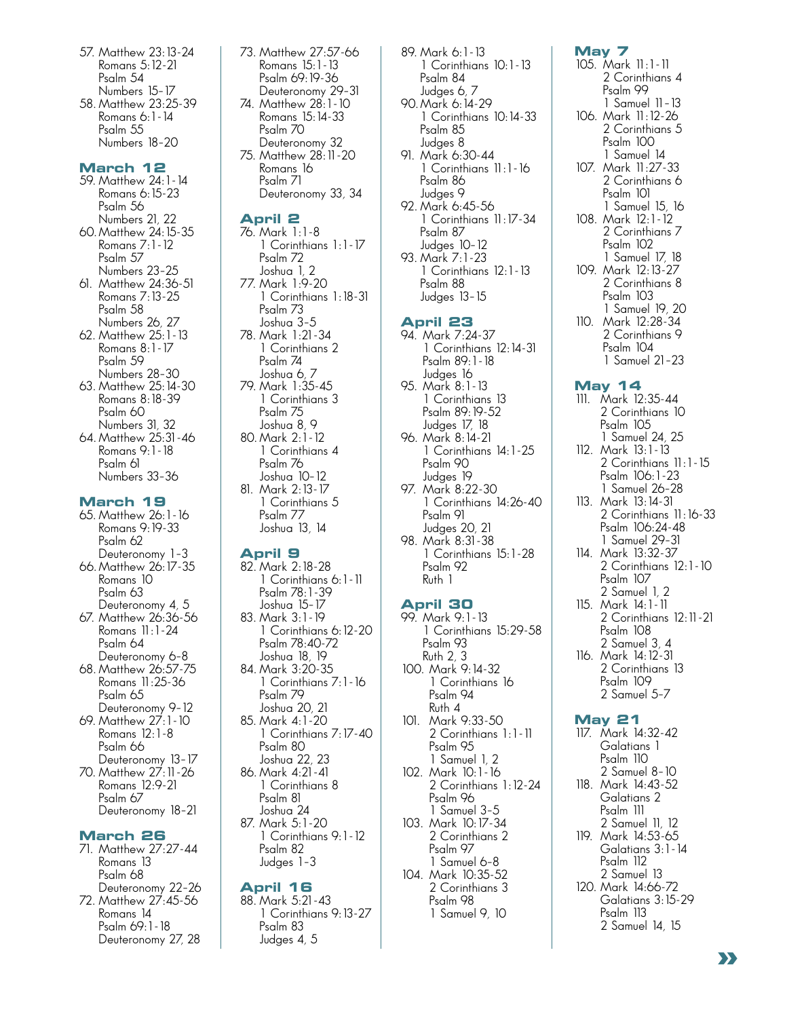- 57. Matthew 23:13-24 Romans 5:12-21 Psalm 54 Numbers 15–17
- 58. Matthew 23:25-39 Romans 6:1-14 Psalm 55 Numbers 18–20

#### **March 12**

- 59. Matthew 24:1-14 Romans 6:15-23 Psalm 56 Numbers 21, 22 60. Matthew 24:15-35 Romans 7:1-12 Psalm 57 Numbers 23–25 61. Matthew 24:36-51
- Romans 7:13-25 Psalm 58 Numbers 26, 27 62. Matthew 25:1-13
- Romans 8:1-17 Psalm 59 Numbers 28–30
- 63. Matthew 25:14-30 Romans 8:18-39 Psalm 60 Numbers 31, 32
- 64. Matthew 25:31-46 Romans 9:1-18 Psalm 61 Numbers 33–36

# **March 19**

- 65. Matthew 26:1-16 Romans 9:19-33 Psalm 62 Deuteronomy 1–3
- 66. Matthew 26:17-35 Romans 10 Psalm 63 Deuteronomy 4, 5
- 67. Matthew 26:36-56 Romans 11:1-24 Psalm 64 Deuteronomy 6–8
- 68. Matthew 26:57-75 Romans 11:25-36 Psalm 65
- Deuteronomy 9–12 69. Matthew 27:1-10 Romans 12:1-8 Psalm 66 Deuteronomy 13–17
- 70. Matthew 27:11-26 Romans 12:9-21 Psalm 67 Deuteronomy 18–21

#### **March 26**

- 71. Matthew 27:27-44 Romans 13 Psalm 68 Deuteronomy 22–26
- 72. Matthew 27:45-56 Romans 14 Psalm 69:1-18 Deuteronomy 27, 28

73. Matthew 27:57-66 Romans 15:1-13 Psalm 69:19-36 Deuteronomy 29–31 74. Matthew 28:1-10 Romans 15:14-33 Psalm 70 Deuteronomy 32 75. Matthew 28:11-20 Romans 16 Psalm 71 Deuteronomy 33, 34

# **April 2**

- 76. Mark 1:1-8 1 Corinthians 1:1-17 Psalm 72 Joshua 1, 2 77. Mark 1:9-20 1 Corinthians 1:18-31 Psalm 73 Joshua 3–5 78. Mark 1:21-34 1 Corinthians 2 Psalm 74 Joshua 6, 7 79. Mark 1:35-45 1 Corinthians 3 Psalm 75 Joshua 8, 9 80. Mark 2:1-12 1 Corinthians 4 Psalm 76
- Joshua 10–12 81. Mark 2:13-17 1 Corinthians 5 Psalm 77 Joshua 13, 14

#### **April 9**

82. Mark 2:18-28 1 Corinthians 6:1-11 Psalm 78:1-39 Joshua 15–17 83. Mark 3:1-19 1 Corinthians 6:12-20 Psalm 78:40-72 Joshua 18, 19 84. Mark 3:20-35 1 Corinthians 7:1-16 Psalm 79 Joshua 20, 21 85. Mark 4:1-20 1 Corinthians 7:17-40 Psalm 80 Joshua 22, 23 86. Mark 4:21-41 1 Corinthians 8 Psalm 81 Joshua 24 87. Mark 5:1-20 1 Corinthians 9:1-12 Psalm 82 Judges 1–3

# **April 16**

88. Mark 5:21-43 1 Corinthians 9:13-27 Psalm 83 Judges 4, 5

89. Mark 6:1-13 1 Corinthians 10:1-13 Psalm 84 Judges 6, 7 90. Mark 6:14-29 1 Corinthians 10:14-33 Psalm 85 Judges 8 91. Mark 6:30-44 1 Corinthians 11:1-16 Psalm 86 Judges 9 92. Mark 6:45-56 1 Corinthians 11:17-34 Psalm 87 Judges 10–12 93. Mark 7:1-23 1 Corinthians 12:1-13 Psalm 88 Judges 13–15

#### **April 23**

- 94. Mark 7:24-37 1 Corinthians 12:14-31 Psalm 89:1-18 Judges 16
- 95. Mark 8:1-13 1 Corinthians 13 Psalm 89:19-52 Judges 17, 18 96. Mark 8:14-21 1 Corinthians 14:1-25
- Psalm 90 Judges 19 97. Mark 8:22-30 1 Corinthians 14:26-40 Psalm 91
- Judges 20, 21 98. Mark 8:31-38 1 Corinthians 15:1-28 Psalm 92 Ruth 1

#### **April 30**

99. Mark 9:1-13 1 Corinthians 15:29-58 Psalm 93 Ruth 2, 3 100. Mark 9:14-32 1 Corinthians 16 Psalm 94 Ruth 4 101. Mark 9:33-50 2 Corinthians 1:1-11 Psalm 95 1 Samuel 1, 2 102. Mark 10:1-16 2 Corinthians 1:12-24 Psalm 96 1 Samuel 3–5 103. Mark 10:17-34 2 Corinthians 2 Psalm 97 1 Samuel 6–8 104. Mark 10:35-52 2 Corinthians 3

> Psalm 98 1 Samuel 9, 10

#### **May 7**

105. Mark 11:1-11 2 Corinthians 4 Psalm 99 1 Samuel 11–13 106. Mark 11:12-26 2 Corinthians 5 Psalm 100 1 Samuel 14 107. Mark 11:27-33 2 Corinthians 6 Psalm 101 1 Samuel 15, 16 108. Mark 12:1-12 2 Corinthians 7 Psalm 102 1 Samuel 17, 18 109. Mark 12:13-27 2 Corinthians 8 Psalm 103 1 Samuel 19, 20 110. Mark 12:28-34 2 Corinthians 9 Psalm 104 1 Samuel 21–23

#### **May 14**

- 111. Mark 12:35-44 2 Corinthians 10 Psalm 105 1 Samuel 24, 25
- 112. Mark 13:1-13 2 Corinthians 11:1-15 Psalm 106:1-23 1 Samuel 26–28
- 113. Mark 13:14-31 2 Corinthians 11:16-33 Psalm 106:24-48 1 Samuel 29–31
- 114. Mark 13:32-37 2 Corinthians 12:1-10 Psalm 107 2 Samuel 1, 2
- 115. Mark 14:1-11 2 Corinthians 12:11-21 Psalm 108 2 Samuel 3, 4 116. Mark 14:12-31 2 Corinthians 13 Psalm 109 2 Samuel 5–7

#### **May 21**

117. Mark 14:32-42 Galatians 1 Psalm 110 2 Samuel 8–10 118. Mark 14:43-52 Galatians 2 Psalm 111 2 Samuel 11, 12 119. Mark 14:53-65 Galatians 3:1-14 Psalm 112 2 Samuel 13 120. Mark 14:66-72 Galatians 3:15-29 Psalm 113 2 Samuel 14, 15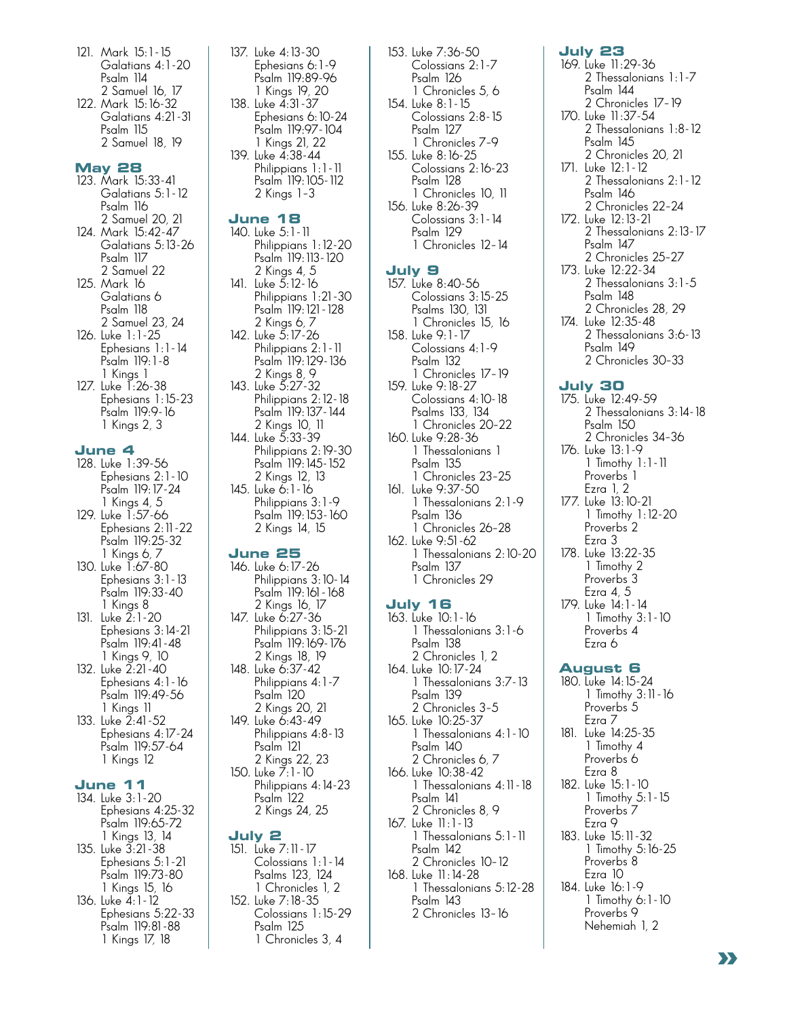- 121. Mark 15:1 15 Galatians 4:1-20 Psalm 114 2 Samuel 16, 17
- 122. Mark 15:16-32 Galatians 4:21-31 Psalm 115 2 Samuel 18, 19

#### **May 28**

- 123. Mark 15:33-41 Galatians 5:1-12 Psalm 116 2 Samuel 20, 21
- 124. Mark 15:42-47 Galatians 5:13-26 Psalm 117 2 Samuel 22
- 125. Mark 16 Galatians 6 Psalm 118 2 Samuel 23, 24
- 126. Luke 1:1-25 Ephesians 1:1-14 Psalm 119:1-8 1 Kings 1
- 127. Luke 1:26-38 Ephesians 1:15-23 Psalm 119:9-16 1 Kings 2, 3

#### **June 4**

- 128. Luke 1:39-56 Ephesians 2:1-10 Psalm 119:17-24 1 Kings 4, 5
- 129. Luke 1:57-66 Ephesians 2:11-22 Psalm 119:25-32
- 1 Kings 6, 7 130. Luke 1:67-80 Ephesians 3:1-13 Psalm 119:33-40 1 Kings 8
- 131. Luke 2:1-20 Ephesians 3:14-21 Psalm 119:41-48 1 Kings 9, 10
- 132. Luke 2:21-40 Ephesians 4:1-16 Psalm 119:49-56 1 Kings 11
- 133. Luke 2:41-52 Ephesians 4:17-24 Psalm 119:57-64 1 Kings 12

# **June 11**

- 134. Luke 3:1-20 Ephesians 4:25-32 Psalm 119:65-72 1 Kings 13, 14
- 135. Luke 3:21-38 Ephesians 5:1-21 Psalm 119:73-80 1 Kings 15, 16
- 136. Luke 4:1-12 Ephesians 5:22-33 Psalm 119:81-88 1 Kings 17, 18

137. Luke 4:13-30 Ephesians 6:1-9 Psalm 119:89-96 1 Kings 19, 20 138. Luke 4:31-37 Ephesians 6:10-24 Psalm 119:97-104 1 Kings 21, 22 139. Luke 4:38-44 Philippians 1:1-11 Psalm 119:105-112 2 Kings 1–3

#### **June 18**

140. Luke 5:1-11 Philippians 1:12-20 Psalm 119:113-120 2 Kings 4, 5 141. Luke 5:12-16 Philippians 1:21-30 Psalm 119:121-128 2 Kings 6, 7 142. Luke 5:17-26 Philippians 2:1-11 Psalm 119:129-136 2 Kings 8, 9 143. Luke 5:27-32 Philippians 2:12-18 Psalm 119:137-144 2 Kings 10, 11 144. Luke 5:33-39 Philippians 2:19-30 Psalm 119:145-152 2 Kings 12, 13 145. Luke 6:1 - 16 Philippians 3:1-9 Psalm 119:153-160 2 Kings 14, 15

#### **June 25**

- 146. Luke 6: 17-26 Philippians 3:10-14 Psalm 119:161-168 2 Kings 16, 17 147. Luke 6:27-36 Philippians 3:15-21 Psalm 119:169-176 2 Kings 18, 19 148. Luke 6:37-42
- Philippians 4:1-7 Psalm 120 2 Kings 20, 21 149. Luke 6:43-49
- Philippians 4:8-13 Psalm 121 2 Kings 22, 23 150. Luke 7:1-10
- Philippians 4:14-23 Psalm 122 2 Kings 24, 25

#### **July 2**

151. Luke 7:11 - 17 Colossians 1:1-14 Psalms 123, 124 1 Chronicles 1, 2 152. Luke 7:18-35 Colossians 1:15-29 Psalm 125 1 Chronicles 3, 4

153. Luke 7:36-50 Colossians 2:1-7 Psalm 126 1 Chronicles 5, 6 154. Luke 8:1-15 Colossians 2:8-15 Psalm 127 1 Chronicles 7–9 155. Luke 8:16-25 Colossians 2:16-23 Psalm 128 1 Chronicles 10, 11 156. Luke 8:26-39 Colossians 3:1-14 Psalm 129 1 Chronicles 12–14

#### **July 9**

157. Luke 8:40-56 Colossians 3:15-25 Psalms 130, 131 1 Chronicles 15, 16 158. Luke 9:1-17 Colossians 4:1-9 Psalm 132 1 Chronicles 17–19 159. Luke 9:18-27 Colossians 4:10-18 Psalms 133, 134 1 Chronicles 20–22 160. Luke 9:28-36 1 Thessalonians 1 Psalm 135 1 Chronicles 23–25 161. Luke 9:37-50 1 Thessalonians 2:1-9 Psalm 136 1 Chronicles 26–28 162. Luke 9:51-62 1 Thessalonians 2:10-20 Psalm 137 1 Chronicles 29

# **July 16**

163. Luke 10:1-16 1 Thessalonians 3:1-6 Psalm 138 2 Chronicles 1, 2 164. Luke 10:17-24 1 Thessalonians 3:7-13 Psalm 139 2 Chronicles 3–5 165. Luke 10:25-37 1 Thessalonians 4:1-10 Psalm 140 2 Chronicles 6, 7 166. Luke 10:38-42 1 Thessalonians 4:11-18 Psalm 141 2 Chronicles 8, 9 167. Luke 11:1-13 1 Thessalonians 5:1-11 Psalm 142 2 Chronicles 10–12 168. Luke 11:14-28 1 Thessalonians 5:12-28 Psalm 143 2 Chronicles 13–16

#### 2 Thessalonians 1:1-7 Psalm 144 2 Chronicles 17–19 170. Luke 11:37-54 2 Thessalonians 1:8-12 Psalm 145 2 Chronicles 20, 21 171. Luke 12:1-12 2 Thessalonians 2:1-12 Psalm 146 2 Chronicles 22–24 172. Luke 12:13-21 2 Thessalonians 2:13-17 Psalm 147 2 Chronicles 25–27 173. Luke 12:22-34 2 Thessalonians 3:1-5 Psalm 148 2 Chronicles 28, 29 174. Luke 12:35-48 2 Thessalonians 3:6-13 Psalm 149 2 Chronicles 30–33 **July 30** 175. Luke 12:49-59 2 Thessalonians 3:14-18 Psalm 150 2 Chronicles 34–36

**July 23** 169. Luke 11:29-36

176. Luke 13:1-9 1 Timothy 1:1-11 Proverbs<sup>1</sup> Ezra 1, 2 177. Luke 13:10-21 1 Timothy 1:12-20 Proverbs 2 Ezra 3 178. Luke 13:22-35 1 Timothy 2 Proverbs 3 Ezra 4, 5 179. Luke 14:1-14 1 Timothy 3:1-10 Proverbs 4

# Ezra 6 **August 6**

180. Luke 14:15-24 1 Timothy 3:11-16 Proverbs 5 Ezra 7 181. Luke 14:25-35 1 Timothy 4 Proverbs 6 Ezra 8 182. Luke 15:1-10 1 Timothy 5:1-15 Proverbs 7 Ezra 9 183. Luke 15:11-32 1 Timothy 5:16-25 Proverbs 8 Ezra 10 184. Luke 16:1-9 1 Timothy 6:1-10 Proverbs<sup>9</sup> Nehemiah 1, 2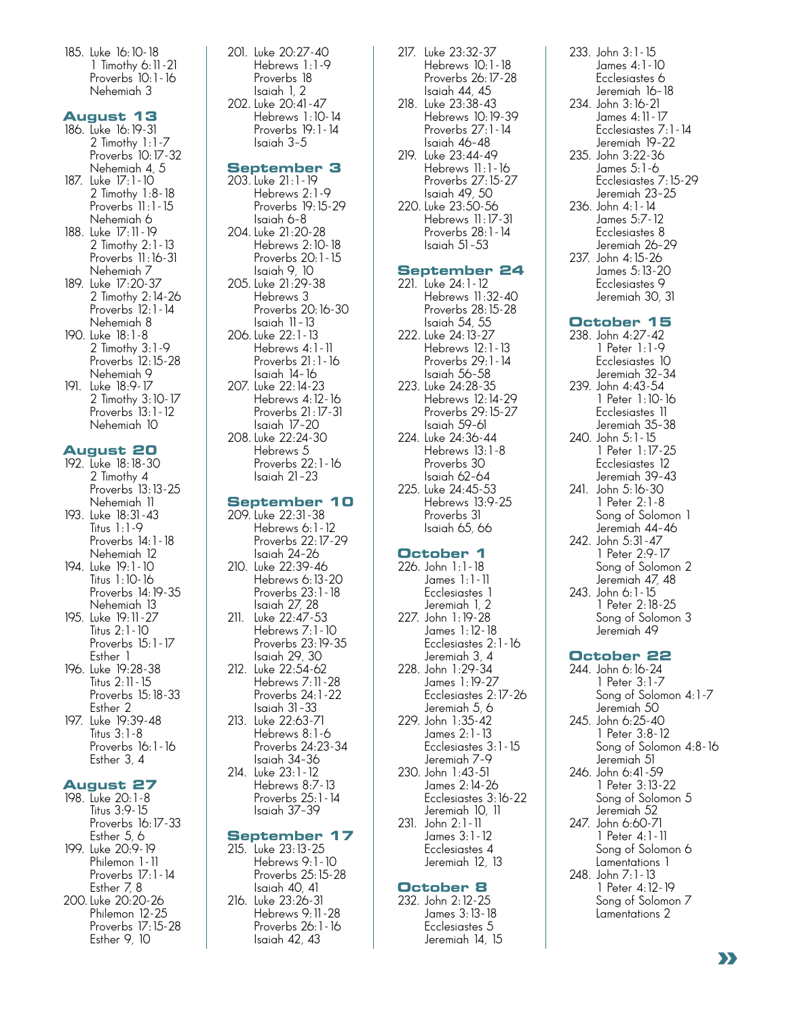185. Luke 16:10-18 1 Timothy 6:11-21 Proverbs 10:1-16 Nehemiah 3

#### **August 13**

- 186. Luke 16:19-31 2 Timothy 1:1-7 Proverbs 10:17-32 Nehemiah 4, 5 187. Luke 17:1-10 2 Timothy 1:8-18 Proverbs 11:1-15 Nehemiah 6 188. Luke 17:11-19 2 Timothy 2:1-13 Proverbs 11:16-31 Nehemiah 7 189. Luke 17:20-37 2 Timothy 2:14-26 Proverbs 12:1-14 Nehemiah 8 190. Luke 18:1-8 2 Timothy 3:1-9 Proverbs 12:15-28 Nehemiah 9
- 191. Luke 18:9-17 2 Timothy 3:10-17 Proverbs<sup>'</sup> 13:1 - 12 Nehemiah 10

#### **August 20**

192. Luke 18:18-30 2 Timothy 4 Proverbs<sup>'</sup> 13:13-25 Nehemiah 11 193. Luke 18:31-43

- Titus 1:1-9 Proverbs 14:1-18 Nehemiah 12 194. Luke 19:1-10 Titus 1:10-16 Proverbs 14:19-35 Nehemiah 13
- 195. Luke 19:11-27 Titus 2:1-10 Proverbs 15:1-17 Esther 1
- 196. Luke 19:28-38 Titus 2:11-15 Proverbs 15:18-33 Esther 2
- 197. Luke 19:39-48 Titus 3:1-8 Proverbs 16:1-16 Esther 3, 4

# **August 27**

198. Luke 20:1-8 Titus 3:9-15 Proverbs 16:17-33 Esther 5, 6 199. Luke 20:9-19 Philemon 1-11 Proverbs 17:1-14 Esther 7, 8 200. Luke 20:20-26 Philemon 12-25 Proverbs 17:15-28 Esther 9, 10

201. Luke 20:27-40 Hebrews 1:1-9 Proverbs 18 Isaiah 1, 2 202. Luke 20:41-47 Hebrews 1:10-14 Proverbs 19:1-14 Isaiah 3–5

#### **September 3**

203. Luke 21:1-19 Hebrews 2:1-9 Proverbs 19:15-29 Isaiah 6–8 204. Luke 21:20-28 Hebrews 2:10-18 Proverbs 20:1-15 Isaiah 9, 10 205. Luke 21:29-38 Hebrews 3 Proverbs 20:16-30 Isaiah 11–13 206. Luke 22:1-13 Hebrews 4:1-11 Proverbs 21:1-16 Isaiah 14–16 207. Luke 22:14-23 Hebrews 4:12-16 Proverbs 21:17-31 Isaiah 17–20 208. Luke 22:24-30 Hebrews 5 Proverbs 22:1-16 Isaiah 21–23

#### **September 10**

- 209. Luke 22:31-38 Hebrews 6:1-12 Proverbs 22:17-29 Isaiah 24–26
- 210. Luke 22:39-46 Hebrews 6:13-20 Proverbs 23:1-18 Isaiah 27, 28 211. Luke 22:47-53
- Hebrews 7:1-10 Proverbs 23:19-35 Isaiah 29, 30 212. Luke 22:54-62
- Hebrews 7:11-28 Proverbs 24:1-22 Isaiah 31–33 213. Luke 22:63-71
- Hebrews 8:1-6 Proverbs 24:23-34 Isaiah 34–36 214. Luke 23:1-12
- Hebrews 8:7-13 Proverbs 25:1-14 Isaiah 37–39

#### **September 17**

215. Luke 23:13-25 Hebrews 9:1-10 Proverbs 25:15-28 Isaiah 40, 41 216. Luke 23:26-31 Hebrews 9:11-28 Proverbs 26:1-16 Isaiah 42, 43

- 217. Luke 23:32-37 Hebrews 10:1-18 Proverbs 26:17-28 Isaiah 44, 45 218. Luke 23:38-43 Hebrews 10:19-39
- Proverbs 27:1-14 Isaiah 46–48 219. Luke 23:44-49 Hebrews 11:1-16 Proverbs 27:15-27 Isaiah 49, 50 220. Luke 23:50-56 Hebrews 11:17-31 Proverbs 28:1-14 Isaiah 51–53

# **September 24**

221. Luke 24:1-12 Hebrews 11:32-40 Proverbs 28:15-28 Isaiah 54, 55 222. Luke 24:13-27 Hebrews 12:1-13 Proverbs 29:1-14 Isaiah 56–58 223. Luke 24:28-35 Hebrews 12:14-29 Proverbs 29:15-27 Isaiah 59–61 224. Luke 24:36-44 Hebrews 13:1-8 Proverbs 30 Isaiah 62–64 225. Luke 24:45-53 Hebrews 13:9-25 Proverbs 31

# **October 1**

 Isaiah 65, 66

226. John 1:1-18 James 1:1-11 Ecclesiastes 1 Jeremiah 1, 2 227. John 1:19-28 James 1:12-18 Ecclesiastes 2:1-16 Jeremiah 3, 4 228. John 1:29-34 James 1:19-27 Ecclesiastes 2:17-26 Jeremiah 5, 6 229. John 1:35-42 James 2:1-13 Ecclesiastes 3:1-15 Jeremiah 7–9 230. John 1:43-51 James 2:14-26 Ecclesiastes 3:16-22 Jeremiah 10, 11 231. John 2:1-11 James 3:1-12 Ecclesiastes 4 Jeremiah 12, 13

# **October 8**

232. John 2:12-25 James 3:13-18 Ecclesiastes 5 Jeremiah 14, 15

- 233. John 3:1-15 James 4:1-10 Ecclesiastes 6 Jeremiah 16–18 234. John 3:16-21 James 4:11-17 Ecclesiastes 7:1-14 Jeremiah 19–22 235. John 3:22-36 James 5:1-6 Ecclesiastes 7:15-29 Jeremiah 23–25 236. John 4:1-14 James 5:7-12 Ecclesiastes 8
- Jeremiah 26–29 237. John 4:15-26 James 5:13-20 Ecclesiastes 9 Jeremiah 30, 31

# **October 15**

- 238. John 4:27-42 1 Peter 1:1-9 Ecclesiastes 10 Jeremiah 32–34 239. John 4:43-54 1 Peter 1:10-16 Ecclesiastes 11 Jeremiah 35–38 240. John 5:1-15 1 Peter 1:17-25 Ecclesiastes 12 Jeremiah 39–43 241. John 5:16-30 1 Peter 2:1-8 Song of Solomon 1 Jeremiah 44–46 242. John 5:31-47 1 Peter 2:9-17 Song of Solomon 2 Jeremiah 47, 48 243. John 6:1-15 1 Peter 2:18-25
- Song of Solomon 3 Jeremiah 49

# **October 22**

- 244. John 6:16-24 1 Peter 3:1-7 Song of Solomon 4:1-7 Jeremiah 50 245. John 6:25-40 1 Peter 3:8-12 Song of Solomon 4:8-16 Jeremiah 51 246. John 6:41-59 1 Peter 3:13-22 Song of Solomon 5 Jeremiah 52 247. John 6:60-71 1 Peter 4:1-11 Song of Solomon 6 Lamentations 1 248. John 7:1-13 1 Peter 4:12-19
- Song of Solomon 7 Lamentations 2